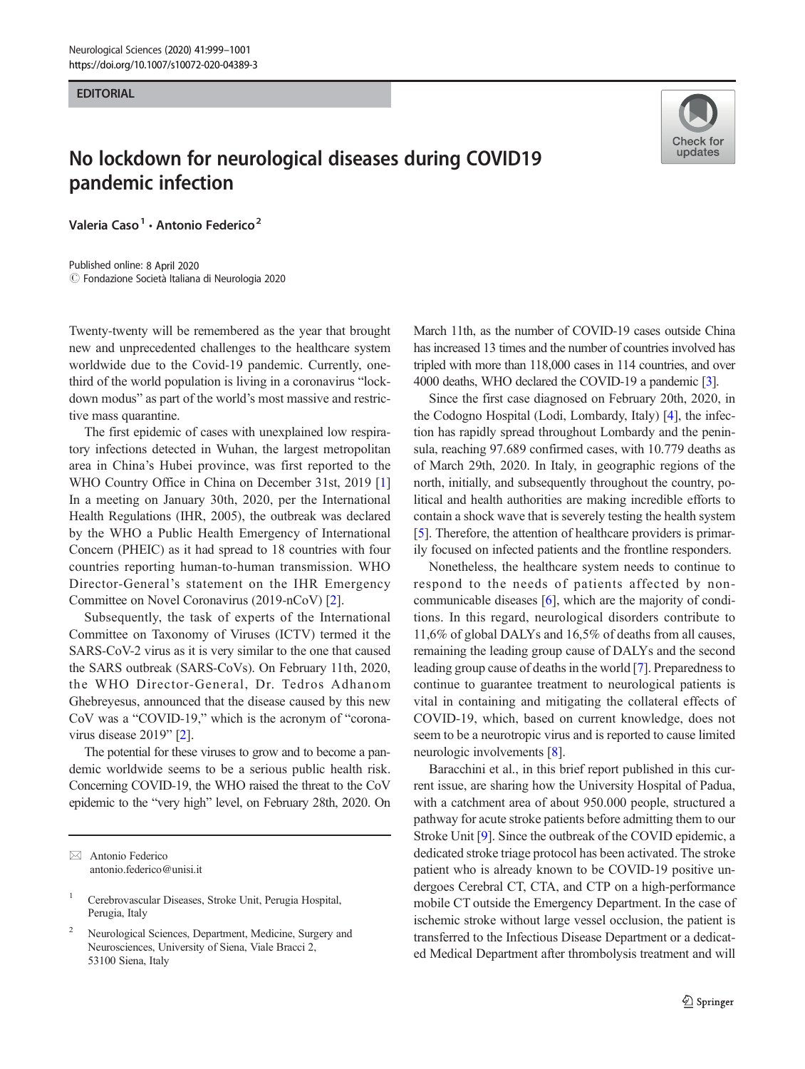#### **EDITORIAL**

# No lockdown for neurological diseases during COVID19 pandemic infection

Valeria Caso<sup>1</sup> · Antonio Federico<sup>2</sup>

 $\circled{c}$  Fondazione Società Italiana di Neurologia 2020 Published online: 8 April 2020



Twenty-twenty will be remembered as the year that brought new and unprecedented challenges to the healthcare system worldwide due to the Covid-19 pandemic. Currently, onethird of the world population is living in a coronavirus "lockdown modus" as part of the world's most massive and restrictive mass quarantine.

The first epidemic of cases with unexplained low respiratory infections detected in Wuhan, the largest metropolitan area in China's Hubei province, was first reported to the WHO Country Office in China on December 31st, 2019 [\[1\]](#page-2-0) In a meeting on January 30th, 2020, per the International Health Regulations (IHR, 2005), the outbreak was declared by the WHO a Public Health Emergency of International Concern (PHEIC) as it had spread to 18 countries with four countries reporting human-to-human transmission. WHO Director-General's statement on the IHR Emergency Committee on Novel Coronavirus (2019-nCoV) [\[2](#page-2-0)].

Subsequently, the task of experts of the International Committee on Taxonomy of Viruses (ICTV) termed it the SARS-CoV-2 virus as it is very similar to the one that caused the SARS outbreak (SARS-CoVs). On February 11th, 2020, the WHO Director-General, Dr. Tedros Adhanom Ghebreyesus, announced that the disease caused by this new CoV was a "COVID-19," which is the acronym of "corona-virus disease 2019" [\[2\]](#page-2-0).

The potential for these viruses to grow and to become a pandemic worldwide seems to be a serious public health risk. Concerning COVID-19, the WHO raised the threat to the CoV epidemic to the "very high" level, on February 28th, 2020. On March 11th, as the number of COVID-19 cases outside China has increased 13 times and the number of countries involved has tripled with more than 118,000 cases in 114 countries, and over 4000 deaths, WHO declared the COVID-19 a pandemic [\[3](#page-2-0)].

Since the first case diagnosed on February 20th, 2020, in the Codogno Hospital (Lodi, Lombardy, Italy) [[4\]](#page-2-0), the infection has rapidly spread throughout Lombardy and the peninsula, reaching 97.689 confirmed cases, with 10.779 deaths as of March 29th, 2020. In Italy, in geographic regions of the north, initially, and subsequently throughout the country, political and health authorities are making incredible efforts to contain a shock wave that is severely testing the health system [\[5](#page-2-0)]. Therefore, the attention of healthcare providers is primarily focused on infected patients and the frontline responders.

Nonetheless, the healthcare system needs to continue to respond to the needs of patients affected by noncommunicable diseases [[6\]](#page-2-0), which are the majority of conditions. In this regard, neurological disorders contribute to 11,6% of global DALYs and 16,5% of deaths from all causes, remaining the leading group cause of DALYs and the second leading group cause of deaths in the world [[7](#page-2-0)]. Preparedness to continue to guarantee treatment to neurological patients is vital in containing and mitigating the collateral effects of COVID-19, which, based on current knowledge, does not seem to be a neurotropic virus and is reported to cause limited neurologic involvements [\[8](#page-2-0)].

Baracchini et al., in this brief report published in this current issue, are sharing how the University Hospital of Padua, with a catchment area of about 950.000 people, structured a pathway for acute stroke patients before admitting them to our Stroke Unit [\[9\]](#page-2-0). Since the outbreak of the COVID epidemic, a dedicated stroke triage protocol has been activated. The stroke patient who is already known to be COVID-19 positive undergoes Cerebral CT, CTA, and CTP on a high-performance mobile CT outside the Emergency Department. In the case of ischemic stroke without large vessel occlusion, the patient is transferred to the Infectious Disease Department or a dedicated Medical Department after thrombolysis treatment and will

 $\boxtimes$  Antonio Federico [antonio.federico@unisi.it](mailto:antonio.federico@unisi.it)

<sup>1</sup> Cerebrovascular Diseases, Stroke Unit, Perugia Hospital, Perugia, Italy

<sup>2</sup> Neurological Sciences, Department, Medicine, Surgery and Neurosciences, University of Siena, Viale Bracci 2, 53100 Siena, Italy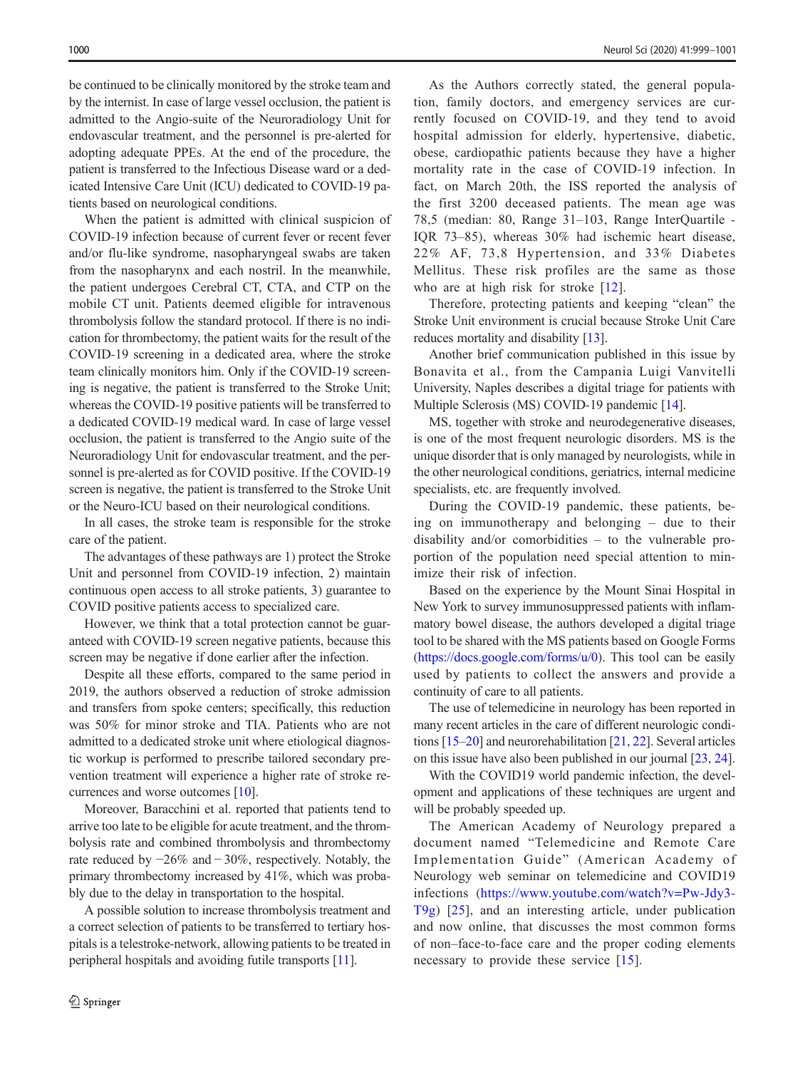be continued to be clinically monitored by the stroke team and by the internist. In case of large vessel occlusion, the patient is admitted to the Angio-suite of the Neuroradiology Unit for endovascular treatment, and the personnel is pre-alerted for adopting adequate PPEs. At the end of the procedure, the patient is transferred to the Infectious Disease ward or a dedicated Intensive Care Unit (ICU) dedicated to COVID-19 patients based on neurological conditions.

When the patient is admitted with clinical suspicion of COVID-19 infection because of current fever or recent fever and/or flu-like syndrome, nasopharyngeal swabs are taken from the nasopharynx and each nostril. In the meanwhile, the patient undergoes Cerebral CT, CTA, and CTP on the mobile CT unit. Patients deemed eligible for intravenous thrombolysis follow the standard protocol. If there is no indication for thrombectomy, the patient waits for the result of the COVID-19 screening in a dedicated area, where the stroke team clinically monitors him. Only if the COVID-19 screening is negative, the patient is transferred to the Stroke Unit; whereas the COVID-19 positive patients will be transferred to a dedicated COVID-19 medical ward. In case of large vessel occlusion, the patient is transferred to the Angio suite of the Neuroradiology Unit for endovascular treatment, and the personnel is pre-alerted as for COVID positive. If the COVID-19 screen is negative, the patient is transferred to the Stroke Unit or the Neuro-ICU based on their neurological conditions.

In all cases, the stroke team is responsible for the stroke care of the patient.

The advantages of these pathways are 1) protect the Stroke Unit and personnel from COVID-19 infection, 2) maintain continuous open access to all stroke patients, 3) guarantee to COVID positive patients access to specialized care.

However, we think that a total protection cannot be guaranteed with COVID-19 screen negative patients, because this screen may be negative if done earlier after the infection.

Despite all these efforts, compared to the same period in 2019, the authors observed a reduction of stroke admission and transfers from spoke centers; specifically, this reduction was 50% for minor stroke and TIA. Patients who are not admitted to a dedicated stroke unit where etiological diagnostic workup is performed to prescribe tailored secondary prevention treatment will experience a higher rate of stroke recurrences and worse outcomes [\[10\]](#page-2-0).

Moreover, Baracchini et al. reported that patients tend to arrive too late to be eligible for acute treatment, and the thrombolysis rate and combined thrombolysis and thrombectomy rate reduced by −26% and − 30%, respectively. Notably, the primary thrombectomy increased by 41%, which was probably due to the delay in transportation to the hospital.

A possible solution to increase thrombolysis treatment and a correct selection of patients to be transferred to tertiary hospitals is a telestroke-network, allowing patients to be treated in peripheral hospitals and avoiding futile transports [\[11\]](#page-2-0).

As the Authors correctly stated, the general population, family doctors, and emergency services are currently focused on COVID-19, and they tend to avoid hospital admission for elderly, hypertensive, diabetic, obese, cardiopathic patients because they have a higher mortality rate in the case of COVID-19 infection. In fact, on March 20th, the ISS reported the analysis of the first 3200 deceased patients. The mean age was 78,5 (median: 80, Range 31–103, Range InterQuartile - IQR 73–85), whereas 30% had ischemic heart disease, 22% AF, 73,8 Hypertension, and 33% Diabetes Mellitus. These risk profiles are the same as those who are at high risk for stroke [[12\]](#page-2-0).

Therefore, protecting patients and keeping "clean" the Stroke Unit environment is crucial because Stroke Unit Care reduces mortality and disability [\[13](#page-2-0)].

Another brief communication published in this issue by Bonavita et al., from the Campania Luigi Vanvitelli University, Naples describes a digital triage for patients with Multiple Sclerosis (MS) COVID-19 pandemic [\[14](#page-2-0)].

MS, together with stroke and neurodegenerative diseases, is one of the most frequent neurologic disorders. MS is the unique disorder that is only managed by neurologists, while in the other neurological conditions, geriatrics, internal medicine specialists, etc. are frequently involved.

During the COVID-19 pandemic, these patients, being on immunotherapy and belonging – due to their disability and/or comorbidities – to the vulnerable proportion of the population need special attention to minimize their risk of infection.

Based on the experience by the Mount Sinai Hospital in New York to survey immunosuppressed patients with inflammatory bowel disease, the authors developed a digital triage tool to be shared with the MS patients based on Google Forms [\(https://docs.google.com/forms/u/0](https://doi.org/https://docs.google.com/forms/u/0)). This tool can be easily used by patients to collect the answers and provide a continuity of care to all patients.

The use of telemedicine in neurology has been reported in many recent articles in the care of different neurologic conditions [\[15](#page-2-0)–[20\]](#page-2-0) and neurorehabilitation [\[21,](#page-2-0) [22](#page-2-0)]. Several articles on this issue have also been published in our journal [\[23](#page-2-0), [24\]](#page-2-0).

With the COVID19 world pandemic infection, the development and applications of these techniques are urgent and will be probably speeded up.

The American Academy of Neurology prepared a document named "Telemedicine and Remote Care Implementation Guide" (American Academy of Neurology web seminar on telemedicine and COVID19 infections ([https://www.youtube.com/watch?v=Pw-Jdy3-](https://doi.org/https://docs.google.com/forms/u/0) [T9g](https://doi.org/https://docs.google.com/forms/u/0)) [\[25](#page-2-0)], and an interesting article, under publication and now online, that discusses the most common forms of non–face-to-face care and the proper coding elements necessary to provide these service [\[15\]](#page-2-0).